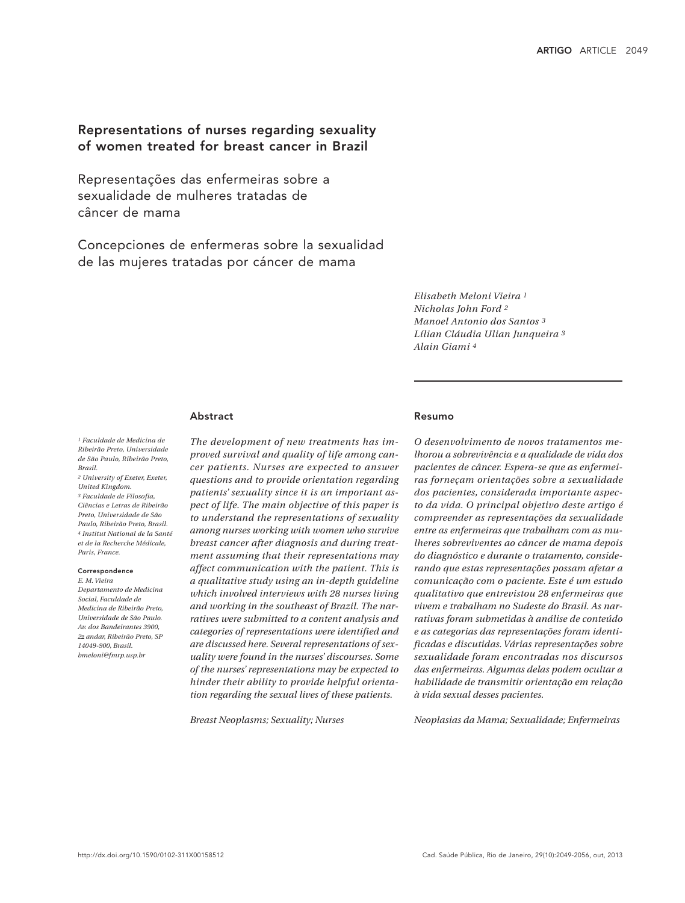# Representations of nurses regarding sexuality of women treated for breast cancer in Brazil

Representações das enfermeiras sobre a sexualidade de mulheres tratadas de câncer de mama

Concepciones de enfermeras sobre la sexualidad de las mujeres tratadas por cáncer de mama

> *Elisabeth Meloni Vieira 1 Nicholas John Ford 2 Manoel Antonio dos Santos 3 Lílian Cláudia Ulian Junqueira 3 Alain Giami 4*

#### Abstract

*1 Faculdade de Medicina de Ribeirão Preto, Universidade de São Paulo, Ribeirão Preto, Brasil. 2 University of Exeter, Exeter, United Kingdom. 3 Faculdade de Filosofia, Ciências e Letras de Ribeirão Preto, Universidade de São Paulo, Ribeirão Preto, Brasil. 4 Institut National de la Santé et de la Recherche Médicale, Paris, France.*

#### Correspondence

*E. M. Vieira Departamento de Medicina Social, Faculdade de Medicina de Ribeirão Preto, Universidade de São Paulo. Av. dos Bandeirantes 3900, 2o andar, Ribeirão Preto, SP 14049-900, Brasil. bmeloni@fmrp.usp.br*

*The development of new treatments has improved survival and quality of life among cancer patients. Nurses are expected to answer questions and to provide orientation regarding patients' sexuality since it is an important aspect of life. The main objective of this paper is to understand the representations of sexuality among nurses working with women who survive breast cancer after diagnosis and during treatment assuming that their representations may affect communication with the patient. This is a qualitative study using an in-depth guideline which involved interviews with 28 nurses living and working in the southeast of Brazil. The narratives were submitted to a content analysis and categories of representations were identified and are discussed here. Several representations of sexuality were found in the nurses' discourses. Some of the nurses' representations may be expected to hinder their ability to provide helpful orientation regarding the sexual lives of these patients.*

*Breast Neoplasms; Sexuality; Nurses*

# Resumo

*O desenvolvimento de novos tratamentos melhorou a sobrevivência e a qualidade de vida dos pacientes de câncer. Espera-se que as enfermeiras forneçam orientações sobre a sexualidade dos pacientes, considerada importante aspecto da vida. O principal objetivo deste artigo é compreender as representações da sexualidade entre as enfermeiras que trabalham com as mulheres sobreviventes ao câncer de mama depois do diagnóstico e durante o tratamento, considerando que estas representações possam afetar a comunicação com o paciente. Este é um estudo qualitativo que entrevistou 28 enfermeiras que vivem e trabalham no Sudeste do Brasil. As narrativas foram submetidas à análise de conteúdo e as categorias das representações foram identificadas e discutidas. Várias representações sobre sexualidade foram encontradas nos discursos das enfermeiras. Algumas delas podem ocultar a habilidade de transmitir orientação em relação à vida sexual desses pacientes.*

*Neoplasias da Mama; Sexualidade; Enfermeiras*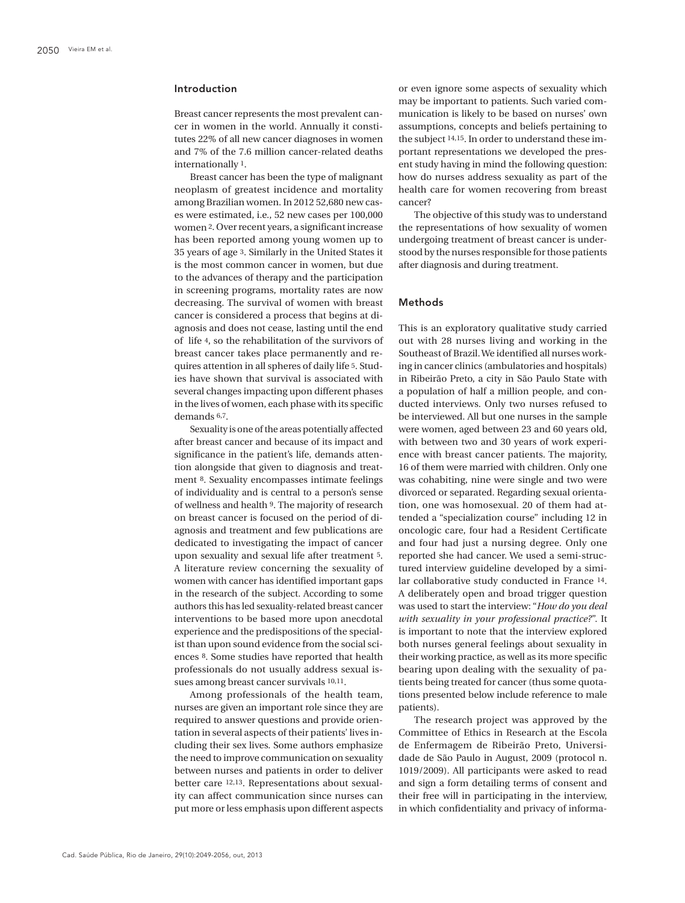# Introduction

Breast cancer represents the most prevalent cancer in women in the world. Annually it constitutes 22% of all new cancer diagnoses in women and 7% of the 7.6 million cancer-related deaths internationally 1.

Breast cancer has been the type of malignant neoplasm of greatest incidence and mortality among Brazilian women. In 2012 52,680 new cases were estimated, i.e., 52 new cases per 100,000 women 2. Over recent years, a significant increase has been reported among young women up to 35 years of age 3. Similarly in the United States it is the most common cancer in women, but due to the advances of therapy and the participation in screening programs, mortality rates are now decreasing. The survival of women with breast cancer is considered a process that begins at diagnosis and does not cease, lasting until the end of life 4, so the rehabilitation of the survivors of breast cancer takes place permanently and requires attention in all spheres of daily life 5. Studies have shown that survival is associated with several changes impacting upon different phases in the lives of women, each phase with its specific demands 6,7.

Sexuality is one of the areas potentially affected after breast cancer and because of its impact and significance in the patient's life, demands attention alongside that given to diagnosis and treatment 8. Sexuality encompasses intimate feelings of individuality and is central to a person's sense of wellness and health 9. The majority of research on breast cancer is focused on the period of diagnosis and treatment and few publications are dedicated to investigating the impact of cancer upon sexuality and sexual life after treatment 5. A literature review concerning the sexuality of women with cancer has identified important gaps in the research of the subject. According to some authors this has led sexuality-related breast cancer interventions to be based more upon anecdotal experience and the predispositions of the specialist than upon sound evidence from the social sciences 8. Some studies have reported that health professionals do not usually address sexual issues among breast cancer survivals 10,11.

Among professionals of the health team, nurses are given an important role since they are required to answer questions and provide orientation in several aspects of their patients' lives including their sex lives. Some authors emphasize the need to improve communication on sexuality between nurses and patients in order to deliver better care 12,13. Representations about sexuality can affect communication since nurses can put more or less emphasis upon different aspects or even ignore some aspects of sexuality which may be important to patients. Such varied communication is likely to be based on nurses' own assumptions, concepts and beliefs pertaining to the subject 14,15. In order to understand these important representations we developed the present study having in mind the following question: how do nurses address sexuality as part of the health care for women recovering from breast cancer?

The objective of this study was to understand the representations of how sexuality of women undergoing treatment of breast cancer is understood by the nurses responsible for those patients after diagnosis and during treatment.

#### Methods

This is an exploratory qualitative study carried out with 28 nurses living and working in the Southeast of Brazil. We identified all nurses working in cancer clinics (ambulatories and hospitals) in Ribeirão Preto, a city in São Paulo State with a population of half a million people, and conducted interviews. Only two nurses refused to be interviewed. All but one nurses in the sample were women, aged between 23 and 60 years old, with between two and 30 years of work experience with breast cancer patients. The majority, 16 of them were married with children. Only one was cohabiting, nine were single and two were divorced or separated. Regarding sexual orientation, one was homosexual. 20 of them had attended a "specialization course" including 12 in oncologic care, four had a Resident Certificate and four had just a nursing degree. Only one reported she had cancer. We used a semi-structured interview guideline developed by a similar collaborative study conducted in France 14. A deliberately open and broad trigger question was used to start the interview: "*How do you deal with sexuality in your professional practice?*". It is important to note that the interview explored both nurses general feelings about sexuality in their working practice, as well as its more specific bearing upon dealing with the sexuality of patients being treated for cancer (thus some quotations presented below include reference to male patients).

The research project was approved by the Committee of Ethics in Research at the Escola de Enfermagem de Ribeirão Preto, Universidade de São Paulo in August, 2009 (protocol n. 1019/2009). All participants were asked to read and sign a form detailing terms of consent and their free will in participating in the interview, in which confidentiality and privacy of informa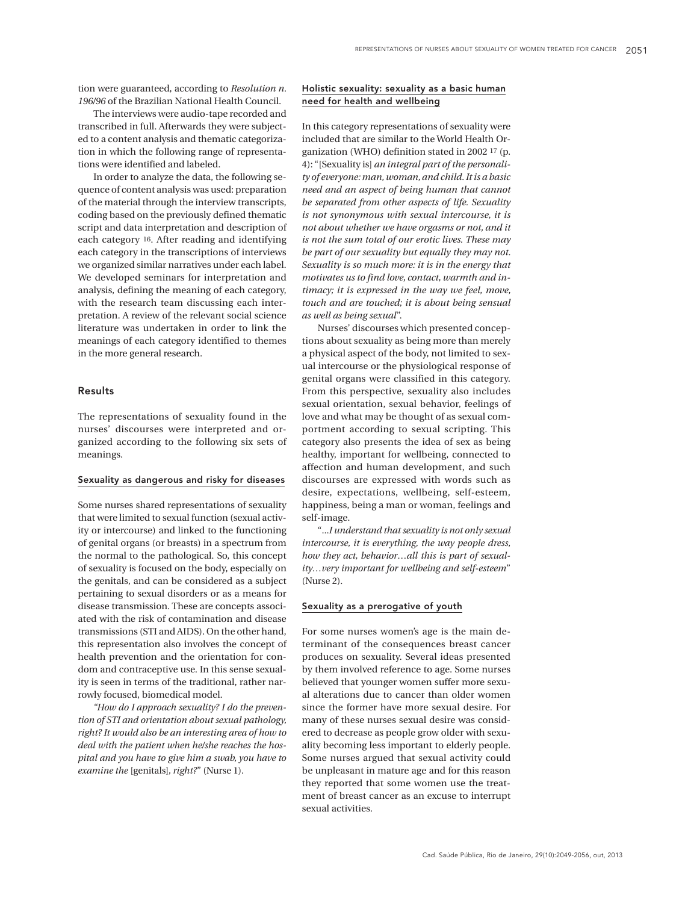tion were guaranteed, according to *Resolution n. 196/96* of the Brazilian National Health Council.

The interviews were audio-tape recorded and transcribed in full. Afterwards they were subjected to a content analysis and thematic categorization in which the following range of representations were identified and labeled.

In order to analyze the data, the following sequence of content analysis was used: preparation of the material through the interview transcripts, coding based on the previously defined thematic script and data interpretation and description of each category 16. After reading and identifying each category in the transcriptions of interviews we organized similar narratives under each label. We developed seminars for interpretation and analysis, defining the meaning of each category, with the research team discussing each interpretation. A review of the relevant social science literature was undertaken in order to link the meanings of each category identified to themes in the more general research.

# Results

The representations of sexuality found in the nurses' discourses were interpreted and organized according to the following six sets of meanings.

# Sexuality as dangerous and risky for diseases

Some nurses shared representations of sexuality that were limited to sexual function (sexual activity or intercourse) and linked to the functioning of genital organs (or breasts) in a spectrum from the normal to the pathological. So, this concept of sexuality is focused on the body, especially on the genitals, and can be considered as a subject pertaining to sexual disorders or as a means for disease transmission. These are concepts associated with the risk of contamination and disease transmissions (STI and AIDS). On the other hand, this representation also involves the concept of health prevention and the orientation for condom and contraceptive use. In this sense sexuality is seen in terms of the traditional, rather narrowly focused, biomedical model.

*"How do I approach sexuality? I do the prevention of STI and orientation about sexual pathology, right? It would also be an interesting area of how to deal with the patient when he/she reaches the hospital and you have to give him a swab, you have to examine the* [genitals]*, right?*" (Nurse 1).

# Holistic sexuality: sexuality as a basic human need for health and wellbeing

In this category representations of sexuality were included that are similar to the World Health Organization (WHO) definition stated in 2002 17 (p. 4): "[Sexuality is] *an integral part of the personality of everyone: man, woman, and child. It is a basic need and an aspect of being human that cannot be separated from other aspects of life. Sexuality is not synonymous with sexual intercourse, it is not about whether we have orgasms or not, and it is not the sum total of our erotic lives. These may be part of our sexuality but equally they may not. Sexuality is so much more: it is in the energy that motivates us to find love, contact, warmth and intimacy; it is expressed in the way we feel, move, touch and are touched; it is about being sensual as well as being sexual*".

Nurses' discourses which presented conceptions about sexuality as being more than merely a physical aspect of the body, not limited to sexual intercourse or the physiological response of genital organs were classified in this category. From this perspective, sexuality also includes sexual orientation, sexual behavior, feelings of love and what may be thought of as sexual comportment according to sexual scripting. This category also presents the idea of sex as being healthy, important for wellbeing, connected to affection and human development, and such discourses are expressed with words such as desire, expectations, wellbeing, self-esteem, happiness, being a man or woman, feelings and self-image.

"...*I understand that sexuality is not only sexual intercourse, it is everything, the way people dress, how they act, behavior…all this is part of sexuality…very important for wellbeing and self-esteem*" (Nurse 2).

# Sexuality as a prerogative of youth

For some nurses women's age is the main determinant of the consequences breast cancer produces on sexuality. Several ideas presented by them involved reference to age. Some nurses believed that younger women suffer more sexual alterations due to cancer than older women since the former have more sexual desire. For many of these nurses sexual desire was considered to decrease as people grow older with sexuality becoming less important to elderly people. Some nurses argued that sexual activity could be unpleasant in mature age and for this reason they reported that some women use the treatment of breast cancer as an excuse to interrupt sexual activities.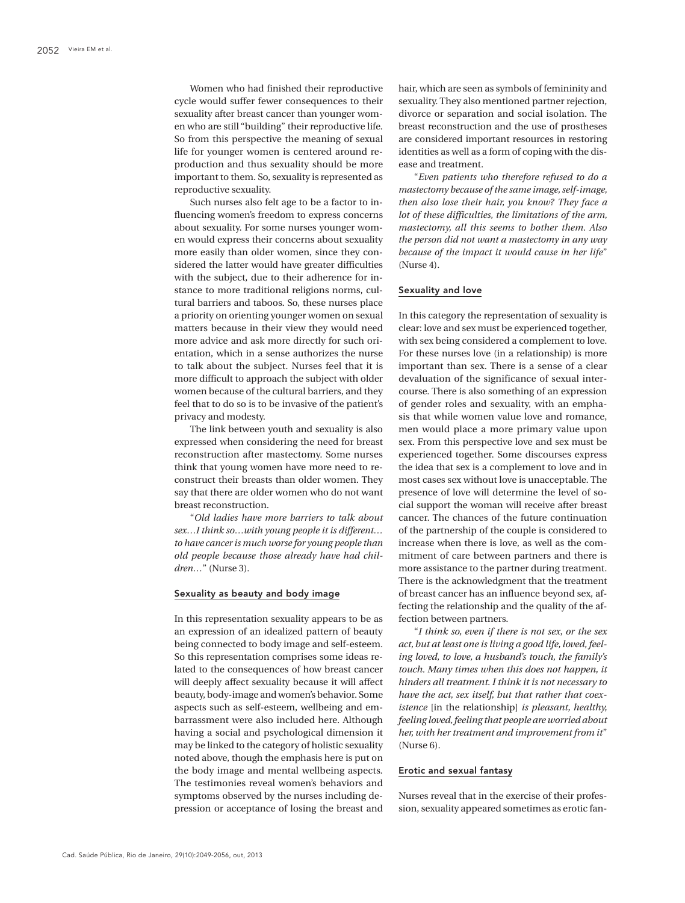Women who had finished their reproductive cycle would suffer fewer consequences to their sexuality after breast cancer than younger women who are still "building" their reproductive life. So from this perspective the meaning of sexual life for younger women is centered around reproduction and thus sexuality should be more important to them. So, sexuality is represented as reproductive sexuality.

Such nurses also felt age to be a factor to influencing women's freedom to express concerns about sexuality. For some nurses younger women would express their concerns about sexuality more easily than older women, since they considered the latter would have greater difficulties with the subject, due to their adherence for instance to more traditional religions norms, cultural barriers and taboos. So, these nurses place a priority on orienting younger women on sexual matters because in their view they would need more advice and ask more directly for such orientation, which in a sense authorizes the nurse to talk about the subject. Nurses feel that it is more difficult to approach the subject with older women because of the cultural barriers, and they feel that to do so is to be invasive of the patient's privacy and modesty.

The link between youth and sexuality is also expressed when considering the need for breast reconstruction after mastectomy. Some nurses think that young women have more need to reconstruct their breasts than older women. They say that there are older women who do not want breast reconstruction.

"*Old ladies have more barriers to talk about sex…I think so…with young people it is different… to have cancer is much worse for young people than old people because those already have had children…*" (Nurse 3).

# Sexuality as beauty and body image

In this representation sexuality appears to be as an expression of an idealized pattern of beauty being connected to body image and self-esteem. So this representation comprises some ideas related to the consequences of how breast cancer will deeply affect sexuality because it will affect beauty, body-image and women's behavior. Some aspects such as self-esteem, wellbeing and embarrassment were also included here. Although having a social and psychological dimension it may be linked to the category of holistic sexuality noted above, though the emphasis here is put on the body image and mental wellbeing aspects. The testimonies reveal women's behaviors and symptoms observed by the nurses including depression or acceptance of losing the breast and hair, which are seen as symbols of femininity and sexuality. They also mentioned partner rejection, divorce or separation and social isolation. The breast reconstruction and the use of prostheses are considered important resources in restoring identities as well as a form of coping with the disease and treatment.

"*Even patients who therefore refused to do a mastectomy because of the same image, self-image, then also lose their hair, you know? They face a lot of these difficulties, the limitations of the arm, mastectomy, all this seems to bother them. Also the person did not want a mastectomy in any way because of the impact it would cause in her life*" (Nurse 4).

## Sexuality and love

In this category the representation of sexuality is clear: love and sex must be experienced together, with sex being considered a complement to love. For these nurses love (in a relationship) is more important than sex. There is a sense of a clear devaluation of the significance of sexual intercourse. There is also something of an expression of gender roles and sexuality, with an emphasis that while women value love and romance, men would place a more primary value upon sex. From this perspective love and sex must be experienced together. Some discourses express the idea that sex is a complement to love and in most cases sex without love is unacceptable. The presence of love will determine the level of social support the woman will receive after breast cancer. The chances of the future continuation of the partnership of the couple is considered to increase when there is love, as well as the commitment of care between partners and there is more assistance to the partner during treatment. There is the acknowledgment that the treatment of breast cancer has an influence beyond sex, affecting the relationship and the quality of the affection between partners.

"*I think so, even if there is not sex, or the sex act, but at least one is living a good life, loved, feeling loved, to love, a husband's touch, the family's touch. Many times when this does not happen, it hinders all treatment. I think it is not necessary to have the act, sex itself, but that rather that coexistence* [in the relationship] *is pleasant, healthy, feeling loved, feeling that people are worried about her, with her treatment and improvement from it*" (Nurse 6).

# Erotic and sexual fantasy

Nurses reveal that in the exercise of their profession, sexuality appeared sometimes as erotic fan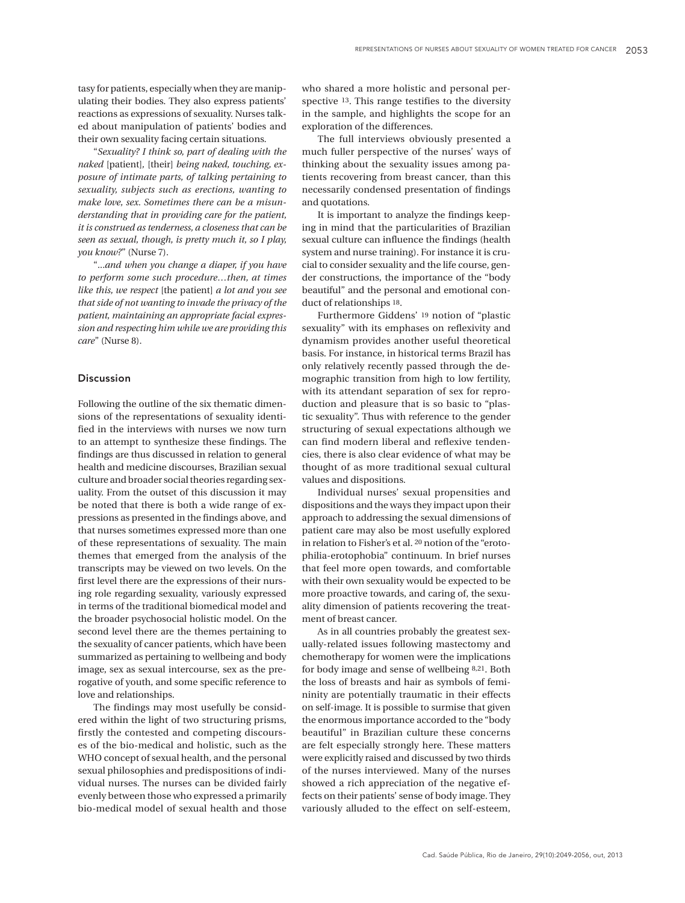tasy for patients, especially when they are manipulating their bodies. They also express patients' reactions as expressions of sexuality. Nurses talked about manipulation of patients' bodies and their own sexuality facing certain situations.

"*Sexuality? I think so, part of dealing with the naked* [patient]*,* [their] *being naked, touching, exposure of intimate parts, of talking pertaining to sexuality, subjects such as erections, wanting to make love, sex. Sometimes there can be a misunderstanding that in providing care for the patient, it is construed as tenderness, a closeness that can be seen as sexual, though, is pretty much it, so I play, you know?*" (Nurse 7).

"...*and when you change a diaper, if you have to perform some such procedure…then, at times like this, we respect* [the patient] *a lot and you see that side of not wanting to invade the privacy of the patient, maintaining an appropriate facial expression and respecting him while we are providing this care*" (Nurse 8).

#### Discussion

Following the outline of the six thematic dimensions of the representations of sexuality identified in the interviews with nurses we now turn to an attempt to synthesize these findings. The findings are thus discussed in relation to general health and medicine discourses, Brazilian sexual culture and broader social theories regarding sexuality. From the outset of this discussion it may be noted that there is both a wide range of expressions as presented in the findings above, and that nurses sometimes expressed more than one of these representations of sexuality. The main themes that emerged from the analysis of the transcripts may be viewed on two levels. On the first level there are the expressions of their nursing role regarding sexuality, variously expressed in terms of the traditional biomedical model and the broader psychosocial holistic model. On the second level there are the themes pertaining to the sexuality of cancer patients, which have been summarized as pertaining to wellbeing and body image, sex as sexual intercourse, sex as the prerogative of youth, and some specific reference to love and relationships.

The findings may most usefully be considered within the light of two structuring prisms, firstly the contested and competing discourses of the bio-medical and holistic, such as the WHO concept of sexual health, and the personal sexual philosophies and predispositions of individual nurses. The nurses can be divided fairly evenly between those who expressed a primarily bio-medical model of sexual health and those who shared a more holistic and personal perspective 13. This range testifies to the diversity in the sample, and highlights the scope for an exploration of the differences.

The full interviews obviously presented a much fuller perspective of the nurses' ways of thinking about the sexuality issues among patients recovering from breast cancer, than this necessarily condensed presentation of findings and quotations.

It is important to analyze the findings keeping in mind that the particularities of Brazilian sexual culture can influence the findings (health system and nurse training). For instance it is crucial to consider sexuality and the life course, gender constructions, the importance of the "body beautiful" and the personal and emotional conduct of relationships 18.

Furthermore Giddens' 19 notion of "plastic sexuality" with its emphases on reflexivity and dynamism provides another useful theoretical basis. For instance, in historical terms Brazil has only relatively recently passed through the demographic transition from high to low fertility, with its attendant separation of sex for reproduction and pleasure that is so basic to "plastic sexuality". Thus with reference to the gender structuring of sexual expectations although we can find modern liberal and reflexive tendencies, there is also clear evidence of what may be thought of as more traditional sexual cultural values and dispositions.

Individual nurses' sexual propensities and dispositions and the ways they impact upon their approach to addressing the sexual dimensions of patient care may also be most usefully explored in relation to Fisher's et al. 20 notion of the "erotophilia-erotophobia" continuum. In brief nurses that feel more open towards, and comfortable with their own sexuality would be expected to be more proactive towards, and caring of, the sexuality dimension of patients recovering the treatment of breast cancer.

As in all countries probably the greatest sexually-related issues following mastectomy and chemotherapy for women were the implications for body image and sense of wellbeing 8,21. Both the loss of breasts and hair as symbols of femininity are potentially traumatic in their effects on self-image. It is possible to surmise that given the enormous importance accorded to the "body beautiful" in Brazilian culture these concerns are felt especially strongly here. These matters were explicitly raised and discussed by two thirds of the nurses interviewed. Many of the nurses showed a rich appreciation of the negative effects on their patients' sense of body image. They variously alluded to the effect on self-esteem,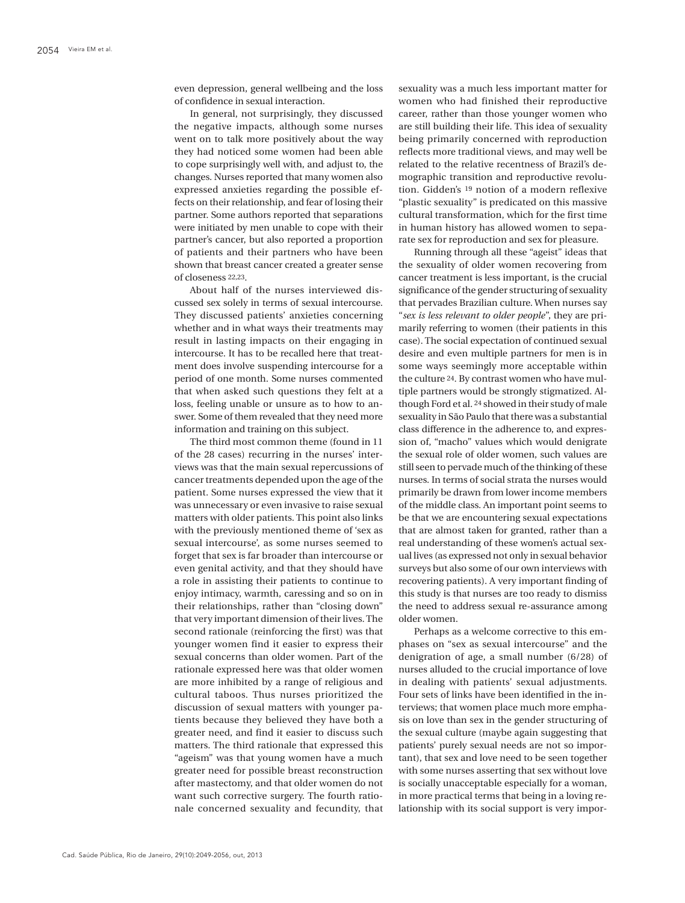even depression, general wellbeing and the loss of confidence in sexual interaction.

In general, not surprisingly, they discussed the negative impacts, although some nurses went on to talk more positively about the way they had noticed some women had been able to cope surprisingly well with, and adjust to, the changes. Nurses reported that many women also expressed anxieties regarding the possible effects on their relationship, and fear of losing their partner. Some authors reported that separations were initiated by men unable to cope with their partner's cancer, but also reported a proportion of patients and their partners who have been shown that breast cancer created a greater sense of closeness 22,23.

About half of the nurses interviewed discussed sex solely in terms of sexual intercourse. They discussed patients' anxieties concerning whether and in what ways their treatments may result in lasting impacts on their engaging in intercourse. It has to be recalled here that treatment does involve suspending intercourse for a period of one month. Some nurses commented that when asked such questions they felt at a loss, feeling unable or unsure as to how to answer. Some of them revealed that they need more information and training on this subject.

The third most common theme (found in 11 of the 28 cases) recurring in the nurses' interviews was that the main sexual repercussions of cancer treatments depended upon the age of the patient. Some nurses expressed the view that it was unnecessary or even invasive to raise sexual matters with older patients. This point also links with the previously mentioned theme of 'sex as sexual intercourse', as some nurses seemed to forget that sex is far broader than intercourse or even genital activity, and that they should have a role in assisting their patients to continue to enjoy intimacy, warmth, caressing and so on in their relationships, rather than "closing down" that very important dimension of their lives. The second rationale (reinforcing the first) was that younger women find it easier to express their sexual concerns than older women. Part of the rationale expressed here was that older women are more inhibited by a range of religious and cultural taboos. Thus nurses prioritized the discussion of sexual matters with younger patients because they believed they have both a greater need, and find it easier to discuss such matters. The third rationale that expressed this "ageism" was that young women have a much greater need for possible breast reconstruction after mastectomy, and that older women do not want such corrective surgery. The fourth rationale concerned sexuality and fecundity, that

sexuality was a much less important matter for women who had finished their reproductive career, rather than those younger women who are still building their life. This idea of sexuality being primarily concerned with reproduction reflects more traditional views, and may well be related to the relative recentness of Brazil's demographic transition and reproductive revolution. Gidden's 19 notion of a modern reflexive "plastic sexuality" is predicated on this massive cultural transformation, which for the first time in human history has allowed women to separate sex for reproduction and sex for pleasure.

Running through all these "ageist" ideas that the sexuality of older women recovering from cancer treatment is less important, is the crucial significance of the gender structuring of sexuality that pervades Brazilian culture. When nurses say "*sex is less relevant to older people*", they are primarily referring to women (their patients in this case). The social expectation of continued sexual desire and even multiple partners for men is in some ways seemingly more acceptable within the culture 24. By contrast women who have multiple partners would be strongly stigmatized. Although Ford et al. 24 showed in their study of male sexuality in São Paulo that there was a substantial class difference in the adherence to, and expression of, "macho" values which would denigrate the sexual role of older women, such values are still seen to pervade much of the thinking of these nurses. In terms of social strata the nurses would primarily be drawn from lower income members of the middle class. An important point seems to be that we are encountering sexual expectations that are almost taken for granted, rather than a real understanding of these women's actual sexual lives (as expressed not only in sexual behavior surveys but also some of our own interviews with recovering patients). A very important finding of this study is that nurses are too ready to dismiss the need to address sexual re-assurance among older women.

Perhaps as a welcome corrective to this emphases on "sex as sexual intercourse" and the denigration of age, a small number (6/28) of nurses alluded to the crucial importance of love in dealing with patients' sexual adjustments. Four sets of links have been identified in the interviews; that women place much more emphasis on love than sex in the gender structuring of the sexual culture (maybe again suggesting that patients' purely sexual needs are not so important), that sex and love need to be seen together with some nurses asserting that sex without love is socially unacceptable especially for a woman, in more practical terms that being in a loving relationship with its social support is very impor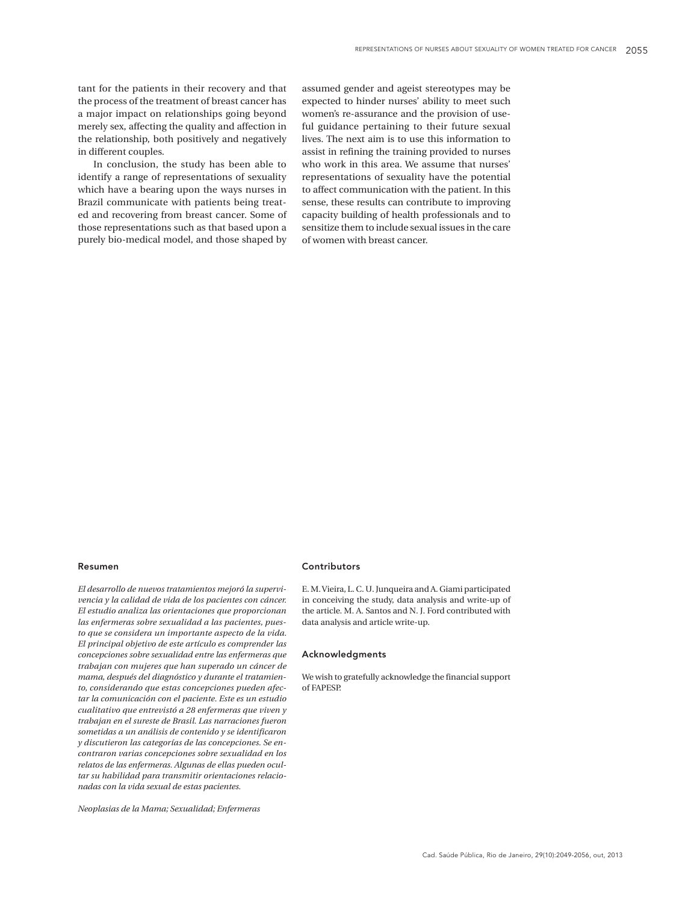tant for the patients in their recovery and that the process of the treatment of breast cancer has a major impact on relationships going beyond merely sex, affecting the quality and affection in the relationship, both positively and negatively in different couples.

In conclusion, the study has been able to identify a range of representations of sexuality which have a bearing upon the ways nurses in Brazil communicate with patients being treated and recovering from breast cancer. Some of those representations such as that based upon a purely bio-medical model, and those shaped by assumed gender and ageist stereotypes may be expected to hinder nurses' ability to meet such women's re-assurance and the provision of useful guidance pertaining to their future sexual lives. The next aim is to use this information to assist in refining the training provided to nurses who work in this area. We assume that nurses' representations of sexuality have the potential to affect communication with the patient. In this sense, these results can contribute to improving capacity building of health professionals and to sensitize them to include sexual issues in the care of women with breast cancer.

#### Resumen

*El desarrollo de nuevos tratamientos mejoró la supervivencia y la calidad de vida de los pacientes con cáncer. El estudio analiza las orientaciones que proporcionan las enfermeras sobre sexualidad a las pacientes, puesto que se considera un importante aspecto de la vida. El principal objetivo de este artículo es comprender las concepciones sobre sexualidad entre las enfermeras que trabajan con mujeres que han superado un cáncer de mama, después del diagnóstico y durante el tratamiento, considerando que estas concepciones pueden afectar la comunicación con el paciente. Este es un estudio cualitativo que entrevistó a 28 enfermeras que viven y trabajan en el sureste de Brasil. Las narraciones fueron sometidas a un análisis de contenido y se identificaron y discutieron las categorías de las concepciones. Se encontraron varias concepciones sobre sexualidad en los relatos de las enfermeras. Algunas de ellas pueden ocultar su habilidad para transmitir orientaciones relacionadas con la vida sexual de estas pacientes.*

*Neoplasias de la Mama; Sexualidad; Enfermeras*

# Contributors

E. M. Vieira, L. C. U. Junqueira and A. Giami participated in conceiving the study, data analysis and write-up of the article. M. A. Santos and N. J. Ford contributed with data analysis and article write-up.

#### Acknowledgments

We wish to gratefully acknowledge the financial support of FAPESP.